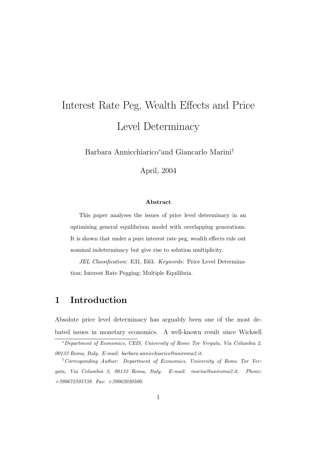# Interest Rate Peg, Wealth Effects and Price Level Determinacy

Barbara Annicchiarico<sup>∗</sup> and Giancarlo Marini†

April, 2004

#### **Abstract**

This paper analyses the issues of price level determinacy in an optimising general equilibrium model with overlapping generations. It is shown that under a pure interest rate peg, wealth effects rule out nominal indeterminacy but give rise to solution multiplicity.

JEL Classification: E31, E63. Keywords: Price Level Determination; Interest Rate Pegging; Multiple Equilibria.

## **1 Introduction**

Absolute price level determinacy has arguably been one of the most debated issues in monetary economics. A well-known result since Wicksell

<sup>∗</sup>Department of Economics, CEIS, University of Rome Tor Vergata, Via Columbia 2, 00133 Roma, Italy. E-mail: barbara.annicchiarico@uniroma2.it.

<sup>†</sup>Corresponding Author: Department of Economics, University of Rome Tor Vergata, Via Columbia 2, 00133 Roma, Italy. E-mail: marini@uniroma2.it. Phone: +390672595738. Fax: +39062020500.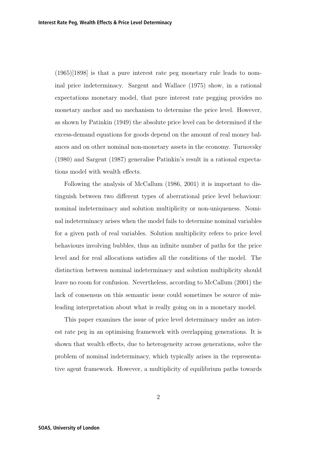(1965)[1898] is that a pure interest rate peg monetary rule leads to nominal price indeterminacy. Sargent and Wallace (1975) show, in a rational expectations monetary model, that pure interest rate pegging provides no monetary anchor and no mechanism to determine the price level. However, as shown by Patinkin (1949) the absolute price level can be determined if the excess-demand equations for goods depend on the amount of real money balances and on other nominal non-monetary assets in the economy. Turnovsky (1980) and Sargent (1987) generalise Patinkin's result in a rational expectations model with wealth effects.

Following the analysis of McCallum (1986, 2001) it is important to distinguish between two different types of aberrational price level behaviour: nominal indeterminacy and solution multiplicity or non-uniqueness. Nominal indeterminacy arises when the model fails to determine nominal variables for a given path of real variables. Solution multiplicity refers to price level behaviours involving bubbles, thus an infinite number of paths for the price level and for real allocations satisfies all the conditions of the model. The distinction between nominal indeterminacy and solution multiplicity should leave no room for confusion. Nevertheless, according to McCallum (2001) the lack of consensus on this semantic issue could sometimes be source of misleading interpretation about what is really going on in a monetary model.

This paper examines the issue of price level determinacy under an interest rate peg in an optimising framework with overlapping generations. It is shown that wealth effects, due to heterogeneity across generations, solve the problem of nominal indeterminacy, which typically arises in the representative agent framework. However, a multiplicity of equilibrium paths towards

2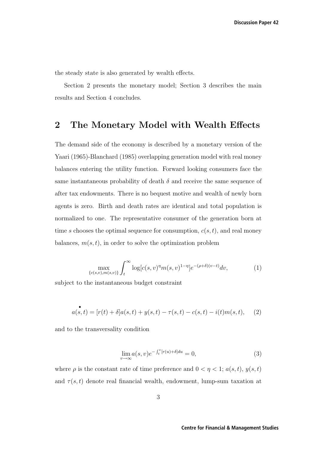the steady state is also generated by wealth effects.

Section 2 presents the monetary model; Section 3 describes the main results and Section 4 concludes.

## **2 The Monetary Model with Wealth Effects**

The demand side of the economy is described by a monetary version of the Yaari (1965)-Blanchard (1985) overlapping generation model with real money balances entering the utility function. Forward looking consumers face the same instantaneous probability of death  $\delta$  and receive the same sequence of after tax endowments. There is no bequest motive and wealth of newly born agents is zero. Birth and death rates are identical and total population is normalized to one. The representative consumer of the generation born at time s chooses the optimal sequence for consumption,  $c(s, t)$ , and real money balances,  $m(s, t)$ , in order to solve the optimization problem

$$
\max_{\{c(s,v),m(s,v)\}} \int_t^{\infty} \log[c(s,v)^{\eta} m(s,v)^{1-\eta}] e^{-(\rho+\delta)(v-t)} dv,
$$
\n(1)

subject to the instantaneous budget constraint

$$
a(s,t) = [r(t) + \delta]a(s,t) + y(s,t) - \tau(s,t) - c(s,t) - i(t)m(s,t), \quad (2)
$$

and to the transversality condition

$$
\lim_{v \to \infty} a(s, v) e^{-\int_t^v [r(u) + \delta] du} = 0,
$$
\n(3)

where  $\rho$  is the constant rate of time preference and  $0 < \eta < 1$ ;  $a(s,t)$ ,  $y(s,t)$ and  $\tau(s,t)$  denote real financial wealth, endowment, lump-sum taxation at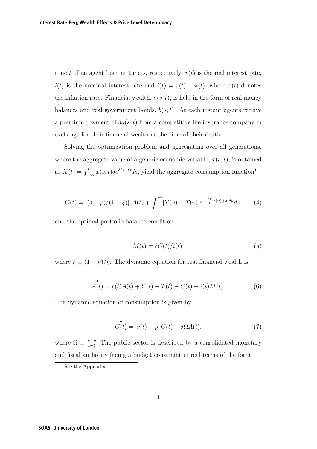time t of an agent born at time s, respectively;  $r(t)$  is the real interest rate,  $i(t)$  is the nominal interest rate and  $i(t) = r(t) + \pi(t)$ , where  $\pi(t)$  denotes the inflation rate. Financial wealth,  $a(s, t)$ , is held in the form of real money balances and real government bonds,  $b(s, t)$ . At each instant agents receive a premium payment of  $\delta a(s,t)$  from a competitive life insurance company in exchange for their financial wealth at the time of their death.

Solving the optimization problem and aggregating over all generations, where the aggregate value of a generic economic variable,  $x(s, t)$ , is obtained as  $X(t) = \int_{-\infty}^{t} x(s,t) \delta e^{\delta(s-t)} ds$ , yield the aggregate consumption function<sup>1</sup>

$$
C(t) = [(\delta + \rho)/(1 + \xi)] [A(t) + \int_t^{\infty} [Y(v) - T(v)] e^{-\int_t^v [r(u) + \delta] du} dv], \quad (4)
$$

and the optimal portfolio balance condition

$$
M(t) = \xi C(t)/i(t),\tag{5}
$$

where  $\xi \equiv (1 - \eta)/\eta$ . The dynamic equation for real financial wealth is

$$
\mathring{A(t)} = r(t)A(t) + Y(t) - T(t) - C(t) - i(t)M(t).
$$
\n(6)

The dynamic equation of consumption is given by

$$
\mathcal{C}(t) = [r(t) - \rho] C(t) - \delta \Omega A(t), \qquad (7)
$$

where  $\Omega \equiv \frac{\delta + \rho}{1 + \xi}$ . The public sector is described by a consolidated monetary and fiscal authority facing a budget constraint in real terms of the form

<sup>&</sup>lt;sup>1</sup>See the Appendix.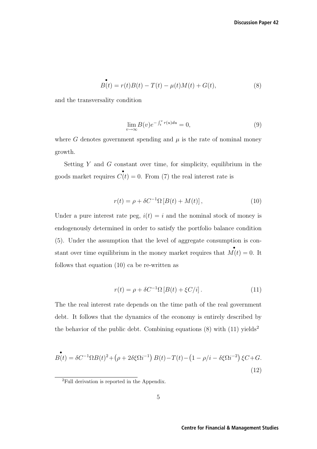$$
\mathbf{B}(t) = r(t)B(t) - T(t) - \mu(t)M(t) + G(t),
$$
\n(8)

and the transversality condition

$$
\lim_{v \to \infty} B(v)e^{-\int_t^v r(u)du} = 0,\tag{9}
$$

where G denotes government spending and  $\mu$  is the rate of nominal money growth.

Setting  $Y$  and  $G$  constant over time, for simplicity, equilibrium in the goods market requires  $\overrightarrow{C}(t) = 0$ . From (7) the real interest rate is

$$
r(t) = \rho + \delta C^{-1} \Omega \left[ B(t) + M(t) \right],\tag{10}
$$

Under a pure interest rate peg,  $i(t) = i$  and the nominal stock of money is endogenously determined in order to satisfy the portfolio balance condition (5). Under the assumption that the level of aggregate consumption is constant over time equilibrium in the money market requires that  $\mathbf{M}(t) = 0$ . It follows that equation (10) ca be re-written as

$$
r(t) = \rho + \delta C^{-1} \Omega \left[ B(t) + \xi C/i \right]. \tag{11}
$$

The the real interest rate depends on the time path of the real government debt. It follows that the dynamics of the economy is entirely described by the behavior of the public debt. Combining equations  $(8)$  with  $(11)$  yields<sup>2</sup>

$$
B(t) = \delta C^{-1} \Omega B(t)^2 + (\rho + 2\delta \xi \Omega i^{-1}) B(t) - T(t) - (1 - \rho/i - \delta \xi \Omega i^{-2}) \xi C + G.
$$
\n(12)

<sup>2</sup>Full derivation is reported in the Appendix.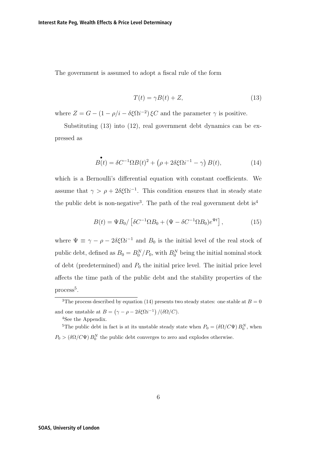The government is assumed to adopt a fiscal rule of the form

$$
T(t) = \gamma B(t) + Z,\t(13)
$$

where  $Z = G - (1 - \rho/i - \delta \xi \Omega i^{-2}) \xi C$  and the parameter  $\gamma$  is positive.

Substituting (13) into (12), real government debt dynamics can be expressed as

$$
B(t) = \delta C^{-1} \Omega B(t)^2 + \left(\rho + 2\delta \xi \Omega i^{-1} - \gamma\right) B(t),\tag{14}
$$

which is a Bernoulli's differential equation with constant coefficients. We assume that  $\gamma > \rho + 2\delta \xi \Omega i^{-1}$ . This condition ensures that in steady state the public debt is non-negative<sup>3</sup>. The path of the real government debt is<sup>4</sup>

$$
B(t) = \Psi B_0 / \left[ \delta C^{-1} \Omega B_0 + (\Psi - \delta C^{-1} \Omega B_0) e^{\Psi t} \right],\tag{15}
$$

where  $\Psi \equiv \gamma - \rho - 2\delta \xi \Omega i^{-1}$  and  $B_0$  is the initial level of the real stock of public debt, defined as  $B_0 = B_0^N/P_0$ , with  $B_0^N$  being the initial nominal stock of debt (predetermined) and  $P_0$  the initial price level. The initial price level affects the time path of the public debt and the stability properties of the  $process<sup>5</sup>$ .

<sup>4</sup>See the Appendix.

<sup>5</sup>The public debt in fact is at its unstable steady state when  $P_0 = (\delta \Omega / C \Psi) B_0^N$ , when  $P_0 > (\delta \Omega / C \Psi) B_0^N$  the public debt converges to zero and explodes otherwise.

<sup>&</sup>lt;sup>3</sup>The process described by equation (14) presents two steady states: one stable at  $B = 0$ and one unstable at  $B = (\gamma - \rho - 2\delta \xi \Omega i^{-1})/(\delta \Omega/C)$ .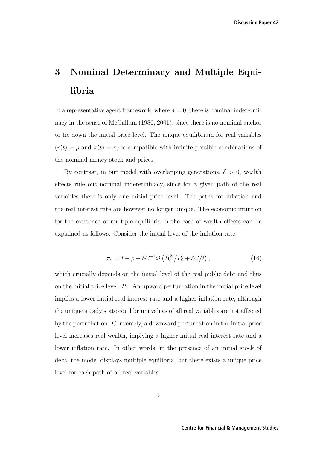## **3 Nominal Determinacy and Multiple Equilibria**

In a representative agent framework, where  $\delta = 0$ , there is nominal indeterminacy in the sense of McCallum (1986, 2001), since there is no nominal anchor to tie down the initial price level. The unique equilibrium for real variables  $(r(t) = \rho \text{ and } \pi(t) = \pi)$  is compatible with infinite possible combinations of the nominal money stock and prices.

By contrast, in our model with overlapping generations,  $\delta > 0$ , wealth effects rule out nominal indeterminacy, since for a given path of the real variables there is only one initial price level. The paths for inflation and the real interest rate are however no longer unique. The economic intuition for the existence of multiple equilibria in the case of wealth effects can be explained as follows. Consider the initial level of the inflation rate

$$
\pi_0 = i - \rho - \delta C^{-1} \Omega \left( B_0^N / P_0 + \xi C / i \right), \tag{16}
$$

which crucially depends on the initial level of the real public debt and thus on the initial price level,  $P_0$ . An upward perturbation in the initial price level implies a lower initial real interest rate and a higher inflation rate, although the unique steady state equilibrium values of all real variables are not affected by the perturbation. Conversely, a downward perturbation in the initial price level increases real wealth, implying a higher initial real interest rate and a lower inflation rate. In other words, in the presence of an initial stock of debt, the model displays multiple equilibria, but there exists a unique price level for each path of all real variables.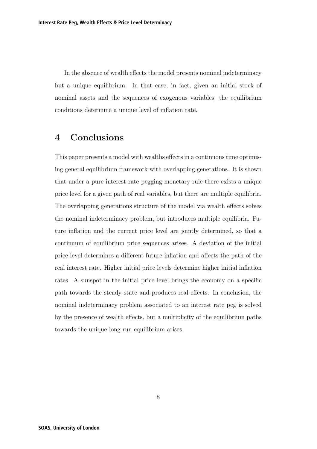In the absence of wealth effects the model presents nominal indeterminacy but a unique equilibrium. In that case, in fact, given an initial stock of nominal assets and the sequences of exogenous variables, the equilibrium conditions determine a unique level of inflation rate.

### **4 Conclusions**

This paper presents a model with wealths effects in a continuous time optimising general equilibrium framework with overlapping generations. It is shown that under a pure interest rate pegging monetary rule there exists a unique price level for a given path of real variables, but there are multiple equilibria. The overlapping generations structure of the model via wealth effects solves the nominal indeterminacy problem, but introduces multiple equilibria. Future inflation and the current price level are jointly determined, so that a continuum of equilibrium price sequences arises. A deviation of the initial price level determines a different future inflation and affects the path of the real interest rate. Higher initial price levels determine higher initial inflation rates. A sunspot in the initial price level brings the economy on a specific path towards the steady state and produces real effects. In conclusion, the nominal indeterminacy problem associated to an interest rate peg is solved by the presence of wealth effects, but a multiplicity of the equilibrium paths towards the unique long run equilibrium arises.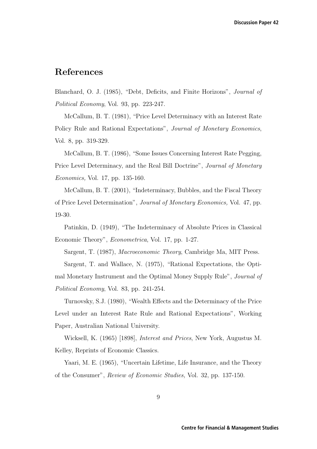## **References**

Blanchard, O. J. (1985), "Debt, Deficits, and Finite Horizons", Journal of Political Economy, Vol. 93, pp. 223-247.

McCallum, B. T. (1981), "Price Level Determinacy with an Interest Rate Policy Rule and Rational Expectations", Journal of Monetary Economics, Vol. 8, pp. 319-329.

McCallum, B. T. (1986), "Some Issues Concerning Interest Rate Pegging, Price Level Determinacy, and the Real Bill Doctrine", Journal of Monetary Economics, Vol. 17, pp. 135-160.

McCallum, B. T. (2001), "Indeterminacy, Bubbles, and the Fiscal Theory of Price Level Determination", Journal of Monetary Economics, Vol. 47, pp. 19-30.

Patinkin, D. (1949), "The Indeterminacy of Absolute Prices in Classical Economic Theory", Econometrica, Vol. 17, pp. 1-27.

Sargent, T. (1987), Macroeconomic Theory, Cambridge Ma, MIT Press.

Sargent, T. and Wallace, N. (1975), "Rational Expectations, the Optimal Monetary Instrument and the Optimal Money Supply Rule", Journal of Political Economy, Vol. 83, pp. 241-254.

Turnovsky, S.J. (1980), "Wealth Effects and the Determinacy of the Price Level under an Interest Rate Rule and Rational Expectations", Working Paper, Australian National University.

Wicksell, K. (1965) [1898], Interest and Prices, New York, Augustus M. Kelley, Reprints of Economic Classics.

Yaari, M. E. (1965), "Uncertain Lifetime, Life Insurance, and the Theory of the Consumer", Review of Economic Studies, Vol. 32, pp. 137-150.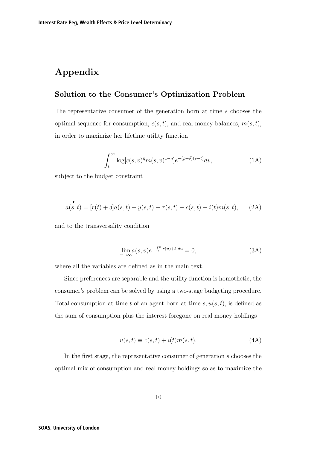## **Appendix**

#### **Solution to the Consumer's Optimization Problem**

The representative consumer of the generation born at time s chooses the optimal sequence for consumption,  $c(s, t)$ , and real money balances,  $m(s, t)$ , in order to maximize her lifetime utility function

$$
\int_{t}^{\infty} \log[c(s,v)^{\eta} m(s,v)^{1-\eta}] e^{-(\rho+\delta)(v-t)} dv,
$$
\n(1A)

subject to the budget constraint

$$
a(s,t) = [r(t) + \delta]a(s,t) + y(s,t) - \tau(s,t) - c(s,t) - i(t)m(s,t), \quad (2A)
$$

and to the transversality condition

$$
\lim_{v \to \infty} a(s, v) e^{-\int_t^v [r(u) + \delta] du} = 0,
$$
\n(3A)

where all the variables are defined as in the main text.

Since preferences are separable and the utility function is homothetic, the consumer's problem can be solved by using a two-stage budgeting procedure. Total consumption at time t of an agent born at time  $s, u(s, t)$ , is defined as the sum of consumption plus the interest foregone on real money holdings

$$
u(s,t) \equiv c(s,t) + i(t)m(s,t). \tag{4A}
$$

In the first stage, the representative consumer of generation s chooses the optimal mix of consumption and real money holdings so as to maximize the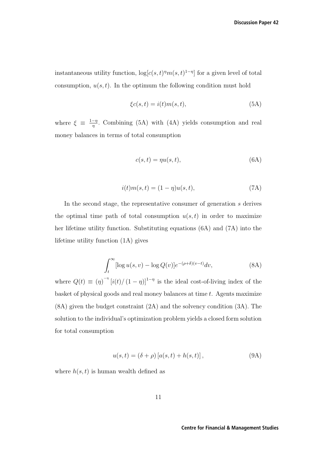instantaneous utility function,  $\log[c(s, t)^{\eta}m(s, t)^{1-\eta}]$  for a given level of total consumption,  $u(s, t)$ . In the optimum the following condition must hold

$$
\xi c(s,t) = i(t)m(s,t),\tag{5A}
$$

where  $\xi \equiv \frac{1-\eta}{\eta}$ . Combining (5A) with (4A) yields consumption and real money balances in terms of total consumption

$$
c(s,t) = \eta u(s,t),\tag{6A}
$$

$$
i(t)m(s,t) = (1 - \eta)u(s,t),\tag{7A}
$$

In the second stage, the representative consumer of generation s derives the optimal time path of total consumption  $u(s, t)$  in order to maximize her lifetime utility function. Substituting equations (6A) and (7A) into the lifetime utility function (1A) gives

$$
\int_{t}^{\infty} [\log u(s, v) - \log Q(v)] e^{-(\rho + \delta)(v - t)} dv,
$$
\n(8A)

where  $Q(t) \equiv (\eta)^{-\eta} [i(t)/(1-\eta)]^{1-\eta}$  is the ideal cost-of-living index of the basket of physical goods and real money balances at time t. Agents maximize (8A) given the budget constraint (2A) and the solvency condition (3A). The solution to the individual's optimization problem yields a closed form solution for total consumption

$$
u(s,t) = (\delta + \rho) [a(s,t) + h(s,t)],
$$
\n(9A)

where  $h(s, t)$  is human wealth defined as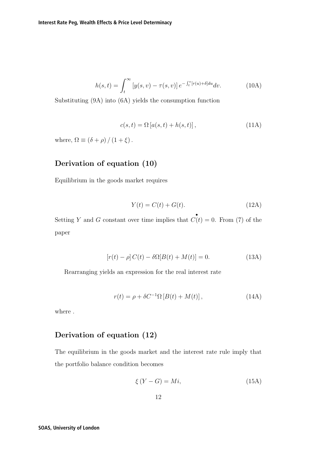$$
h(s,t) = \int_t^{\infty} \left[ y(s,v) - \tau(s,v) \right] e^{-\int_t^v [r(u) + \delta] du} dv.
$$
 (10A)

Substituting (9A) into (6A) yields the consumption function

$$
c(s,t) = \Omega \left[ a(s,t) + h(s,t) \right],\tag{11A}
$$

where,  $\Omega \equiv (\delta + \rho)/(1 + \xi)$ .

#### **Derivation of equation (10)**

Equilibrium in the goods market requires

$$
Y(t) = C(t) + G(t). \tag{12A}
$$

Setting Y and G constant over time implies that  $\mathcal{C}(t) = 0$ . From (7) of the paper

$$
[r(t) - \rho] C(t) - \delta\Omega[B(t) + M(t)] = 0.
$$
 (13A)

Rearranging yields an expression for the real interest rate

$$
r(t) = \rho + \delta C^{-1} \Omega \left[ B(t) + M(t) \right], \tag{14A}
$$

where .

#### **Derivation of equation (12)**

The equilibrium in the goods market and the interest rate rule imply that the portfolio balance condition becomes

$$
\xi\left(Y - G\right) = Mi,\tag{15A}
$$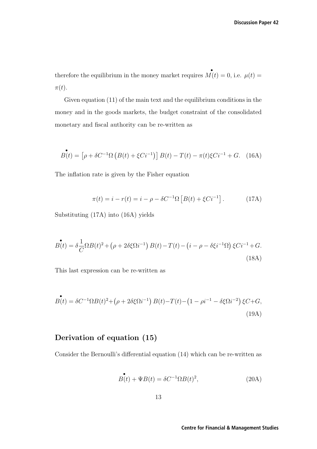therefore the equilibrium in the money market requires  $\mathbf{M}(t)=0$ , i.e.  $\mu(t)=$  $\pi(t)$ .

Given equation (11) of the main text and the equilibrium conditions in the money and in the goods markets, the budget constraint of the consolidated monetary and fiscal authority can be re-written as

$$
B(t) = \left[\rho + \delta C^{-1} \Omega \left( B(t) + \xi C i^{-1} \right) \right] B(t) - T(t) - \pi(t) \xi C i^{-1} + G. \quad (16A)
$$

The inflation rate is given by the Fisher equation

$$
\pi(t) = i - r(t) = i - \rho - \delta C^{-1} \Omega \left[ B(t) + \xi C i^{-1} \right].
$$
 (17A)

Substituting (17A) into (16A) yields

$$
\mathcal{B}(t) = \delta \frac{1}{C} \Omega B(t)^2 + (\rho + 2\delta \xi \Omega i^{-1}) B(t) - T(t) - (i - \rho - \delta \xi i^{-1} \Omega) \xi C i^{-1} + G.
$$
\n(18A)

This last expression can be re-written as

$$
\mathcal{B}(t) = \delta C^{-1} \Omega B(t)^2 + (\rho + 2\delta \xi \Omega i^{-1}) B(t) - T(t) - (1 - \rho i^{-1} - \delta \xi \Omega i^{-2}) \xi C + G,
$$
\n(19A)

#### **Derivation of equation (15)**

Consider the Bernoulli's differential equation (14) which can be re-written as

$$
\mathbf{B}(t) + \Psi B(t) = \delta C^{-1} \Omega B(t)^2,
$$
\n(20A)